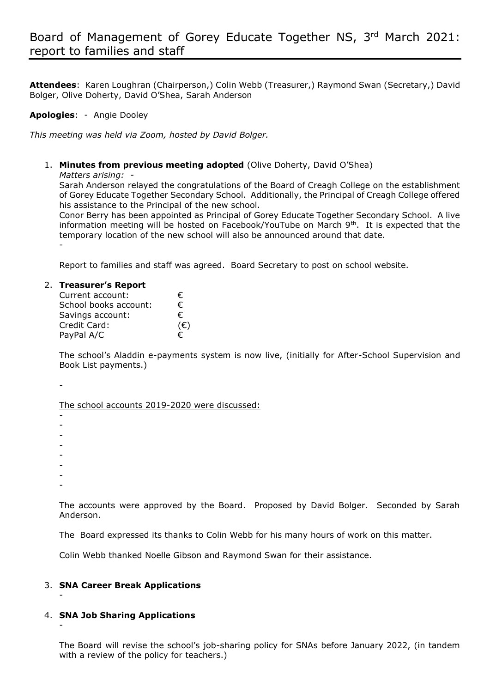**Attendees**: Karen Loughran (Chairperson,) Colin Webb (Treasurer,) Raymond Swan (Secretary,) David Bolger, Olive Doherty, David O'Shea, Sarah Anderson

### **Apologies**: - Angie Dooley

*This meeting was held via Zoom, hosted by David Bolger.*

1. **Minutes from previous meeting adopted** (Olive Doherty, David O'Shea) *Matters arising: -* 

Sarah Anderson relayed the congratulations of the Board of Creagh College on the establishment of Gorey Educate Together Secondary School. Additionally, the Principal of Creagh College offered his assistance to the Principal of the new school.

Conor Berry has been appointed as Principal of Gorey Educate Together Secondary School. A live information meeting will be hosted on Facebook/YouTube on March 9<sup>th</sup>. It is expected that the temporary location of the new school will also be announced around that date. -

Report to families and staff was agreed. Board Secretary to post on school website.

#### 2. **Treasurer's Report**

| Current account:      | €   |
|-----------------------|-----|
| School books account: | €   |
| Savings account:      | €   |
| Credit Card:          | (€) |
| PayPal A/C            | €   |

The school's Aladdin e-payments system is now live, (initially for After-School Supervision and Book List payments.)

-

The school accounts 2019-2020 were discussed:

- -

-

-

-

- -

-

-

-

The accounts were approved by the Board. Proposed by David Bolger. Seconded by Sarah Anderson.

The Board expressed its thanks to Colin Webb for his many hours of work on this matter.

Colin Webb thanked Noelle Gibson and Raymond Swan for their assistance.

# 3. **SNA Career Break Applications**

# 4. **SNA Job Sharing Applications**

The Board will revise the school's job-sharing policy for SNAs before January 2022, (in tandem with a review of the policy for teachers.)